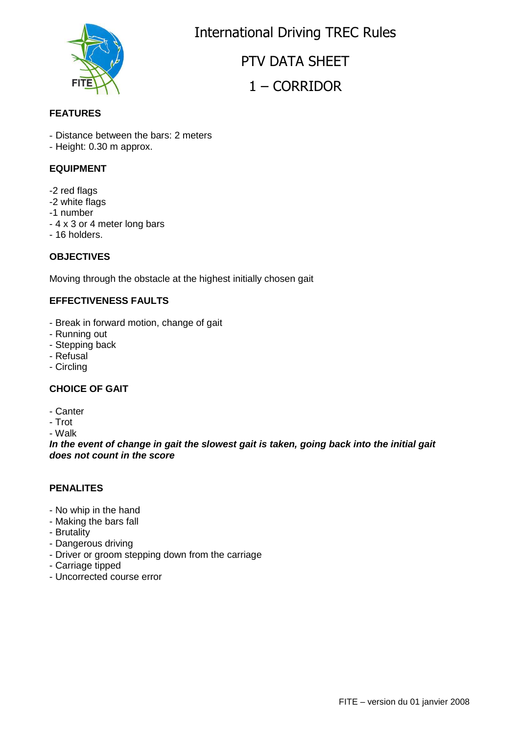

International Driving TREC Rules

PTV DATA SHEET

# 1 – CORRIDOR

#### **FEATURES**

- Distance between the bars: 2 meters

- Height: 0.30 m approx.

#### **EQUIPMENT**

- -2 red flags
- -2 white flags
- -1 number
- 4 x 3 or 4 meter long bars
- 16 holders.

### **OBJECTIVES**

Moving through the obstacle at the highest initially chosen gait

## **EFFECTIVENESS FAULTS**

- Break in forward motion, change of gait
- Running out
- Stepping back
- Refusal
- Circling

## **CHOICE OF GAIT**

- Canter
- Trot

- Walk

**In the event of change in gait the slowest gait is taken, going back into the initial gait does not count in the score**

#### **PENALITES**

- No whip in the hand
- Making the bars fall
- Brutality
- Dangerous driving
- Driver or groom stepping down from the carriage
- Carriage tipped
- Uncorrected course error